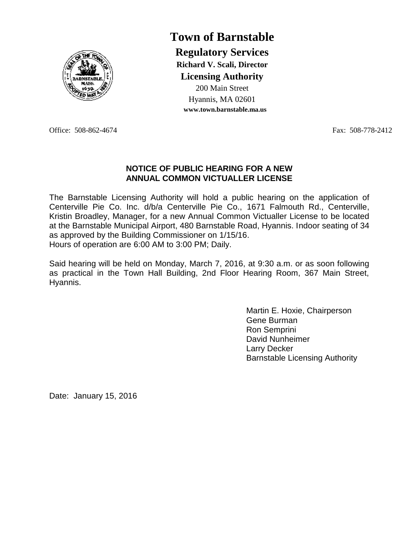

**Town of Barnstable Regulatory Services Richard V. Scali, Director Licensing Authority** 200 Main Street Hyannis, MA 02601 **www.town.barnstable.ma.us**

Office: 508-862-4674 Fax: 508-778-2412

### **NOTICE OF PUBLIC HEARING FOR A NEW ANNUAL COMMON VICTUALLER LICENSE**

The Barnstable Licensing Authority will hold a public hearing on the application of Centerville Pie Co. Inc. d/b/a Centerville Pie Co., 1671 Falmouth Rd., Centerville, Kristin Broadley, Manager, for a new Annual Common Victualler License to be located at the Barnstable Municipal Airport, 480 Barnstable Road, Hyannis. Indoor seating of 34 as approved by the Building Commissioner on 1/15/16. Hours of operation are 6:00 AM to 3:00 PM; Daily.

Said hearing will be held on Monday, March 7, 2016, at 9:30 a.m. or as soon following as practical in the Town Hall Building, 2nd Floor Hearing Room, 367 Main Street, Hyannis.

> Martin E. Hoxie, Chairperson Gene Burman Ron Semprini David Nunheimer Larry Decker Barnstable Licensing Authority

Date: January 15, 2016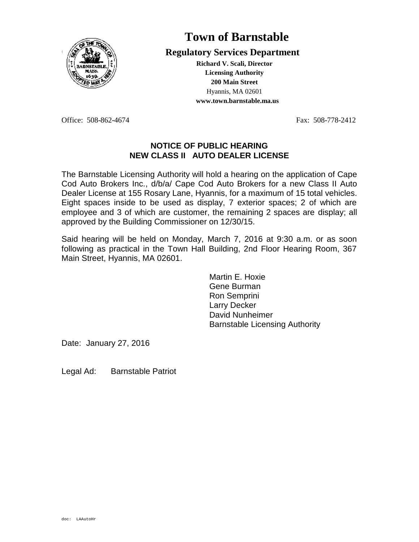

### **Ces Regulatory Services Department**

**Richard V. Scali, Director Licensing Authority 200 Main Street** Hyannis, MA 02601 **www.town.barnstable.ma.us**

Office: 508-862-4674 Fax: 508-778-2412

#### **NOTICE OF PUBLIC HEARING NEW CLASS II AUTO DEALER LICENSE**

The Barnstable Licensing Authority will hold a hearing on the application of Cape Cod Auto Brokers Inc., d/b/a/ Cape Cod Auto Brokers for a new Class II Auto Dealer License at 155 Rosary Lane, Hyannis, for a maximum of 15 total vehicles. Eight spaces inside to be used as display, 7 exterior spaces; 2 of which are employee and 3 of which are customer, the remaining 2 spaces are display; all approved by the Building Commissioner on 12/30/15.

Said hearing will be held on Monday, March 7, 2016 at 9:30 a.m. or as soon following as practical in the Town Hall Building, 2nd Floor Hearing Room, 367 Main Street, Hyannis, MA 02601.

> Martin E. Hoxie Gene Burman Ron Semprini Larry Decker David Nunheimer Barnstable Licensing Authority

Date: January 27, 2016

Legal Ad: Barnstable Patriot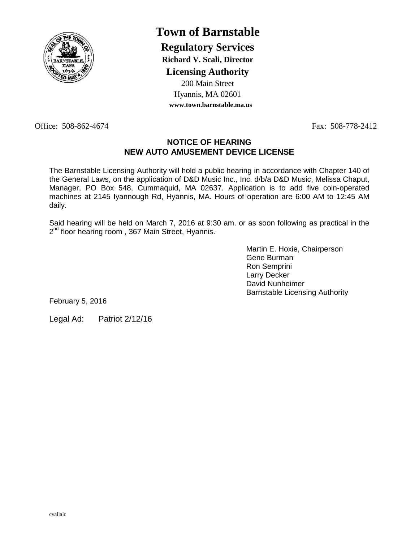

**Regulatory Services**

**Richard V. Scali, Director**

**Licensing Authority**

200 Main Street Hyannis, MA 02601 **www.town.barnstable.ma.us**

Office: 508-862-4674 Fax: 508-778-2412

### **NOTICE OF HEARING NEW AUTO AMUSEMENT DEVICE LICENSE**

The Barnstable Licensing Authority will hold a public hearing in accordance with Chapter 140 of the General Laws, on the application of D&D Music Inc., Inc. d/b/a D&D Music, Melissa Chaput, Manager, PO Box 548, Cummaquid, MA 02637. Application is to add five coin-operated machines at 2145 Iyannough Rd, Hyannis, MA. Hours of operation are 6:00 AM to 12:45 AM daily.

Said hearing will be held on March 7, 2016 at 9:30 am. or as soon following as practical in the 2<sup>nd</sup> floor hearing room, 367 Main Street, Hyannis.

> Martin E. Hoxie, Chairperson Gene Burman Ron Semprini Larry Decker David Nunheimer Barnstable Licensing Authority

February 5, 2016

Legal Ad: Patriot 2/12/16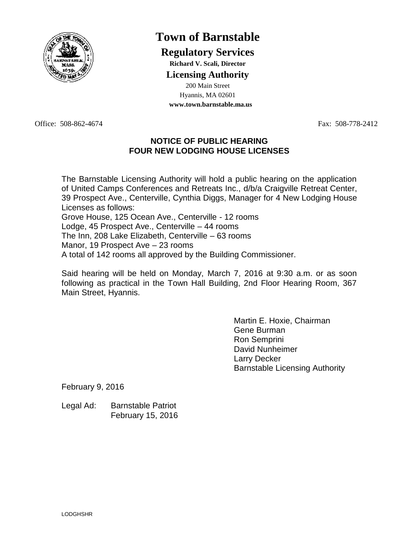

### **Regulatory Services**

**Richard V. Scali, Director**

### **Licensing Authority**

200 Main Street Hyannis, MA 02601 **www.town.barnstable.ma.us**

Office: 508-862-4674 Fax: 508-778-2412

### **NOTICE OF PUBLIC HEARING FOUR NEW LODGING HOUSE LICENSES**

The Barnstable Licensing Authority will hold a public hearing on the application of United Camps Conferences and Retreats Inc., d/b/a Craigville Retreat Center, 39 Prospect Ave., Centerville, Cynthia Diggs, Manager for 4 New Lodging House Licenses as follows: Grove House, 125 Ocean Ave., Centerville - 12 rooms Lodge, 45 Prospect Ave., Centerville – 44 rooms The Inn, 208 Lake Elizabeth, Centerville – 63 rooms Manor, 19 Prospect Ave – 23 rooms

A total of 142 rooms all approved by the Building Commissioner.

Said hearing will be held on Monday, March 7, 2016 at 9:30 a.m. or as soon following as practical in the Town Hall Building, 2nd Floor Hearing Room, 367 Main Street, Hyannis.

> Martin E. Hoxie, Chairman Gene Burman Ron Semprini David Nunheimer Larry Decker Barnstable Licensing Authority

February 9, 2016

Legal Ad: Barnstable Patriot February 15, 2016